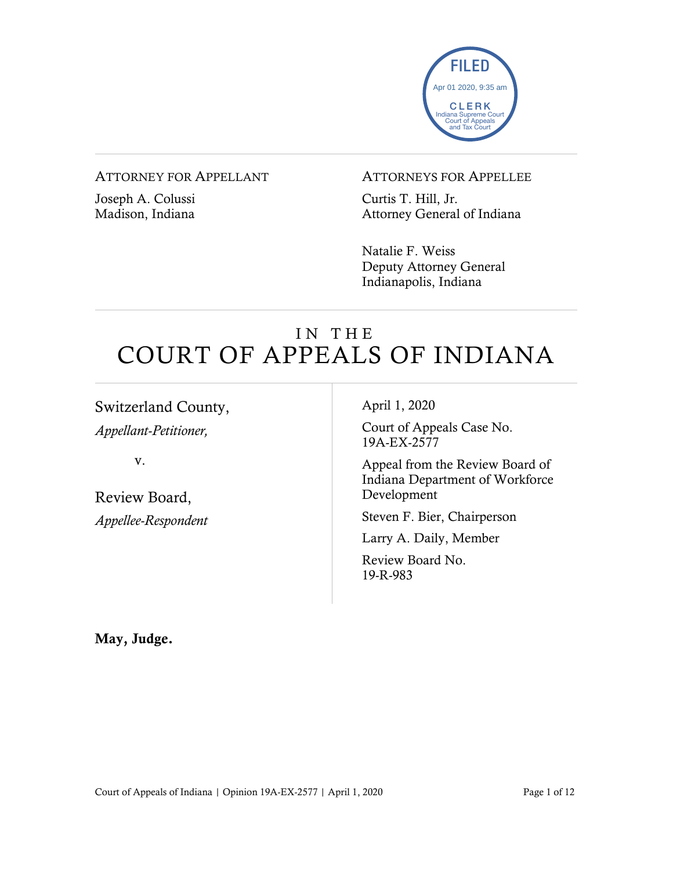

#### ATTORNEY FOR APPELLANT

Joseph A. Colussi Madison, Indiana

#### ATTORNEYS FOR APPELLEE

Curtis T. Hill, Jr. Attorney General of Indiana

Natalie F. Weiss Deputy Attorney General Indianapolis, Indiana

# IN THE COURT OF APPEALS OF INDIANA

Switzerland County,

*Appellant-Petitioner,*

v.

Review Board, *Appellee-Respondent* April 1, 2020

Court of Appeals Case No. 19A-EX-2577

Appeal from the Review Board of Indiana Department of Workforce Development

Steven F. Bier, Chairperson

Larry A. Daily, Member

Review Board No. 19-R-983

May, Judge.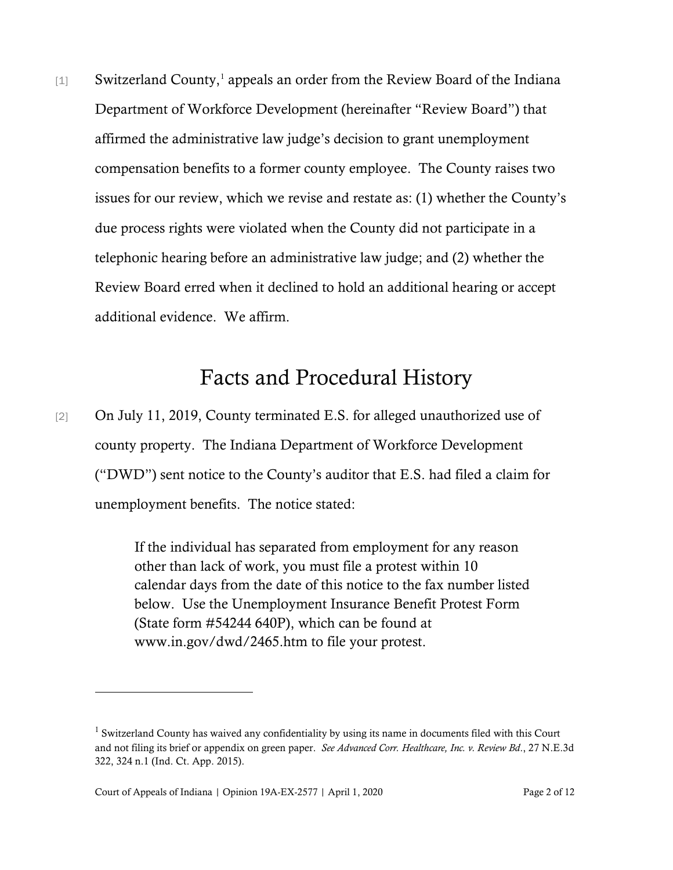[[1](#page-1-0)] Switzerland County,<sup>1</sup> appeals an order from the Review Board of the Indiana Department of Workforce Development (hereinafter "Review Board") that affirmed the administrative law judge's decision to grant unemployment compensation benefits to a former county employee. The County raises two issues for our review, which we revise and restate as: (1) whether the County's due process rights were violated when the County did not participate in a telephonic hearing before an administrative law judge; and (2) whether the Review Board erred when it declined to hold an additional hearing or accept additional evidence. We affirm.

## Facts and Procedural History

[2] On July 11, 2019, County terminated E.S. for alleged unauthorized use of county property. The Indiana Department of Workforce Development ("DWD") sent notice to the County's auditor that E.S. had filed a claim for unemployment benefits. The notice stated:

> If the individual has separated from employment for any reason other than lack of work, you must file a protest within 10 calendar days from the date of this notice to the fax number listed below. Use the Unemployment Insurance Benefit Protest Form (State form #54244 640P), which can be found at www.in.gov/dwd/2465.htm to file your protest.

<span id="page-1-0"></span><sup>&</sup>lt;sup>1</sup> Switzerland County has waived any confidentiality by using its name in documents filed with this Court and not filing its brief or appendix on green paper. *See Advanced Corr. Healthcare, Inc. v. Review Bd*., 27 N.E.3d 322, 324 n.1 (Ind. Ct. App. 2015).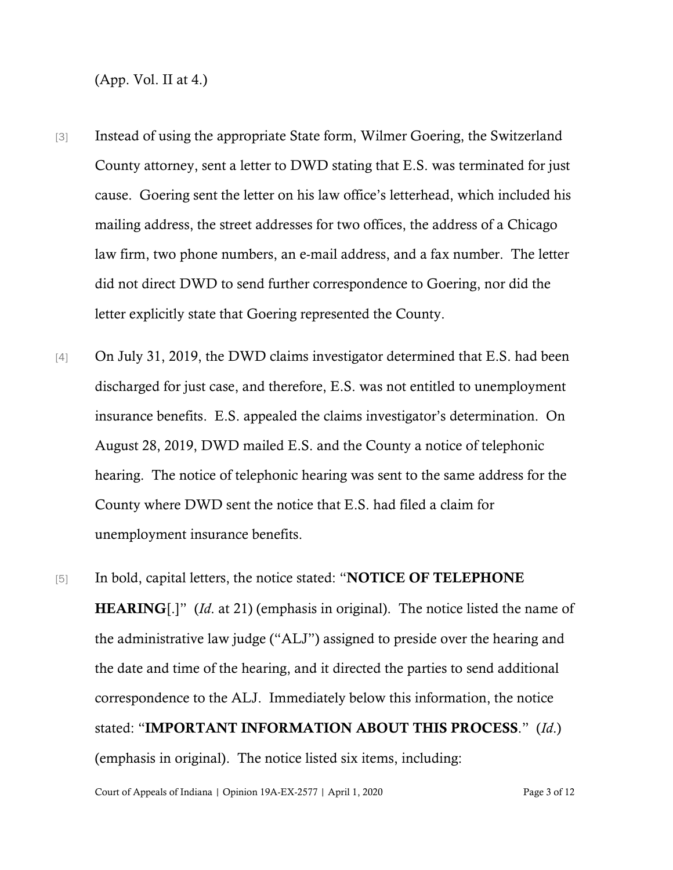(App. Vol. II at 4.)

- [3] Instead of using the appropriate State form, Wilmer Goering, the Switzerland County attorney, sent a letter to DWD stating that E.S. was terminated for just cause. Goering sent the letter on his law office's letterhead, which included his mailing address, the street addresses for two offices, the address of a Chicago law firm, two phone numbers, an e-mail address, and a fax number. The letter did not direct DWD to send further correspondence to Goering, nor did the letter explicitly state that Goering represented the County.
- [4] On July 31, 2019, the DWD claims investigator determined that E.S. had been discharged for just case, and therefore, E.S. was not entitled to unemployment insurance benefits. E.S. appealed the claims investigator's determination. On August 28, 2019, DWD mailed E.S. and the County a notice of telephonic hearing. The notice of telephonic hearing was sent to the same address for the County where DWD sent the notice that E.S. had filed a claim for unemployment insurance benefits.
- [5] In bold, capital letters, the notice stated: "NOTICE OF TELEPHONE HEARING[.]" (*Id.* at 21) (emphasis in original). The notice listed the name of the administrative law judge ("ALJ") assigned to preside over the hearing and the date and time of the hearing, and it directed the parties to send additional correspondence to the ALJ. Immediately below this information, the notice stated: "IMPORTANT INFORMATION ABOUT THIS PROCESS." (*Id*.) (emphasis in original). The notice listed six items, including: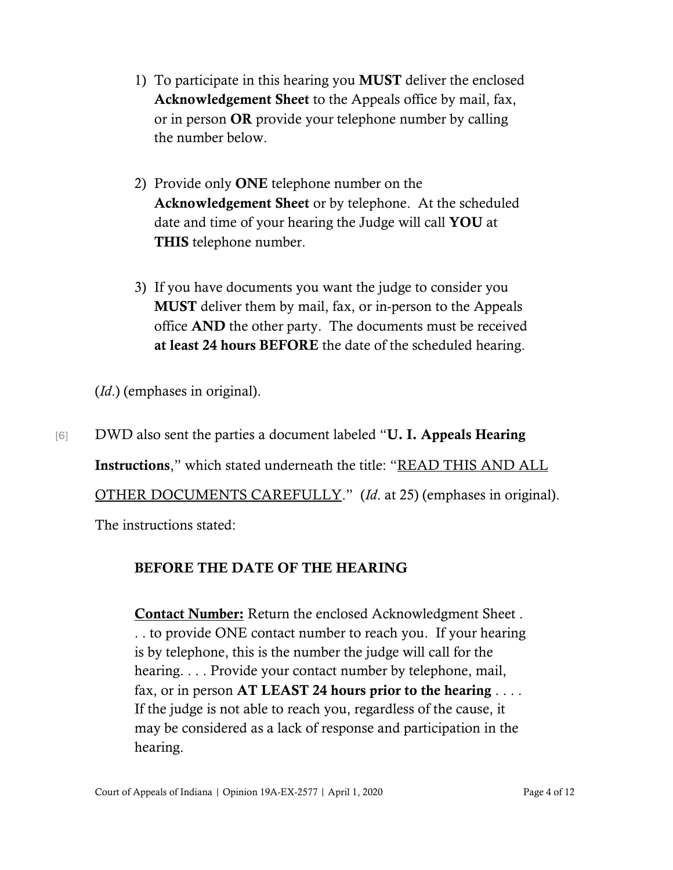- 1) To participate in this hearing you MUST deliver the enclosed Acknowledgement Sheet to the Appeals office by mail, fax, or in person **OR** provide your telephone number by calling the number below.
- 2) Provide only **ONE** telephone number on the Acknowledgement Sheet or by telephone. At the scheduled date and time of your hearing the Judge will call YOU at THIS telephone number.
- 3) If you have documents you want the judge to consider you MUST deliver them by mail, fax, or in-person to the Appeals office AND the other party. The documents must be received at least 24 hours BEFORE the date of the scheduled hearing.

(*Id*.) (emphases in original).

[6] DWD also sent the parties a document labeled "U. I. Appeals Hearing Instructions," which stated underneath the title: "READ THIS AND ALL OTHER DOCUMENTS CAREFULLY." (*Id*. at 25) (emphases in original).

The instructions stated:

### BEFORE THE DATE OF THE HEARING

**Contact Number:** Return the enclosed Acknowledgment Sheet. . . to provide ONE contact number to reach you. If your hearing is by telephone, this is the number the judge will call for the hearing. . . . Provide your contact number by telephone, mail, fax, or in person  $AT LEAST 24 hours prior to the hearing...$ If the judge is not able to reach you, regardless of the cause, it may be considered as a lack of response and participation in the hearing.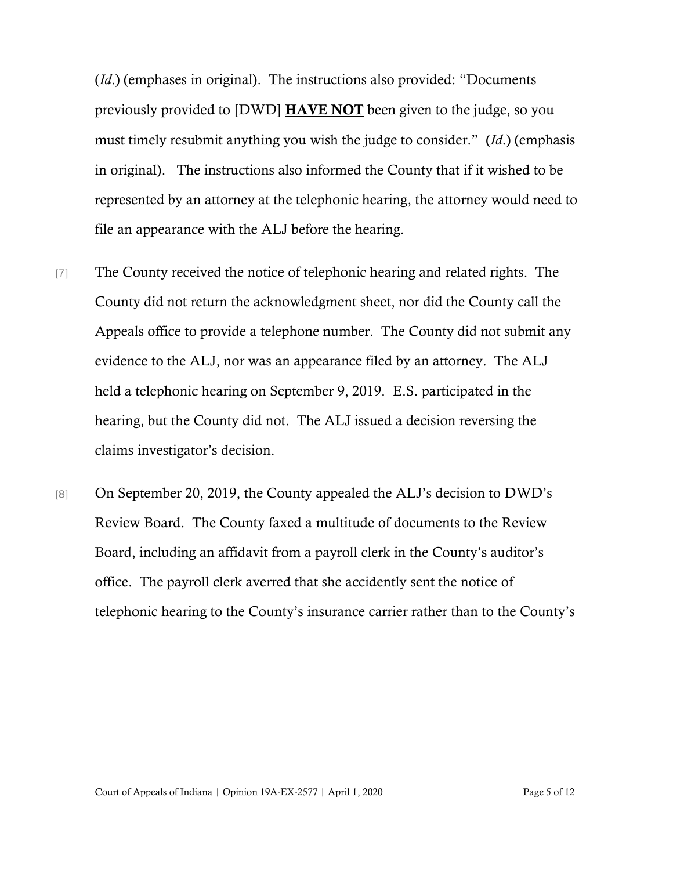(*Id*.) (emphases in original). The instructions also provided: "Documents previously provided to [DWD] HAVE NOT been given to the judge, so you must timely resubmit anything you wish the judge to consider." (*Id*.) (emphasis in original). The instructions also informed the County that if it wished to be represented by an attorney at the telephonic hearing, the attorney would need to file an appearance with the ALJ before the hearing.

- [7] The County received the notice of telephonic hearing and related rights. The County did not return the acknowledgment sheet, nor did the County call the Appeals office to provide a telephone number. The County did not submit any evidence to the ALJ, nor was an appearance filed by an attorney. The ALJ held a telephonic hearing on September 9, 2019. E.S. participated in the hearing, but the County did not. The ALJ issued a decision reversing the claims investigator's decision.
- [8] On September 20, 2019, the County appealed the ALJ's decision to DWD's Review Board. The County faxed a multitude of documents to the Review Board, including an affidavit from a payroll clerk in the County's auditor's office. The payroll clerk averred that she accidently sent the notice of telephonic hearing to the County's insurance carrier rather than to the County's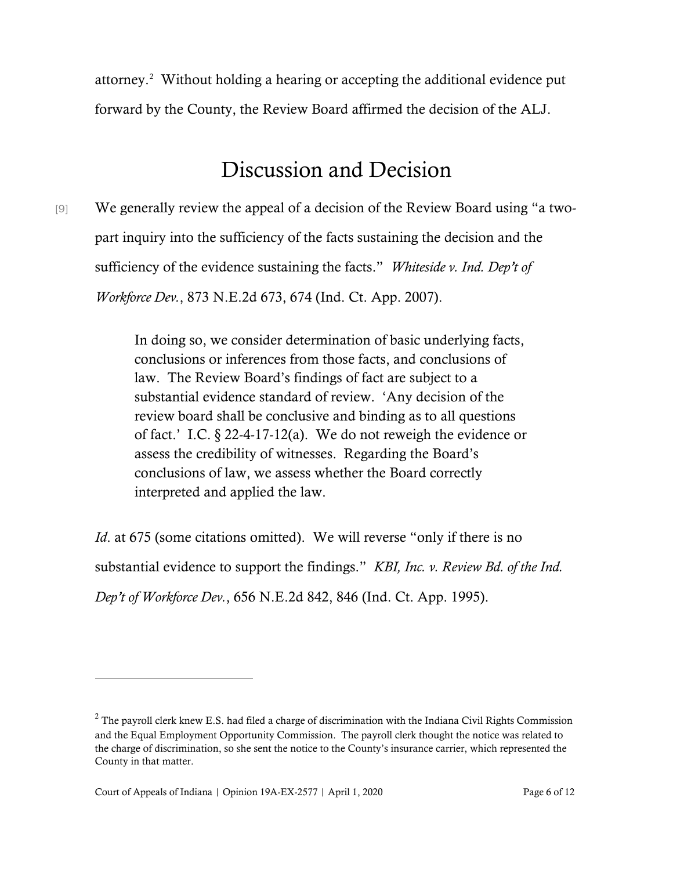attorney.[2](#page-5-0) Without holding a hearing or accepting the additional evidence put forward by the County, the Review Board affirmed the decision of the ALJ.

## Discussion and Decision

[9] We generally review the appeal of a decision of the Review Board using "a twopart inquiry into the sufficiency of the facts sustaining the decision and the sufficiency of the evidence sustaining the facts." *Whiteside v. Ind. Dep't of Workforce Dev.*, 873 N.E.2d 673, 674 (Ind. Ct. App. 2007).

> In doing so, we consider determination of basic underlying facts, conclusions or inferences from those facts, and conclusions of law. The Review Board's findings of fact are subject to a substantial evidence standard of review. 'Any decision of the review board shall be conclusive and binding as to all questions of fact.' I.C. § 22-4-17-12(a). We do not reweigh the evidence or assess the credibility of witnesses. Regarding the Board's conclusions of law, we assess whether the Board correctly interpreted and applied the law.

*Id.* at 675 (some citations omitted). We will reverse "only if there is no substantial evidence to support the findings." *KBI, Inc. v. Review Bd. of the Ind. Dep't of Workforce Dev.*, 656 N.E.2d 842, 846 (Ind. Ct. App. 1995).

<span id="page-5-0"></span> $2$  The payroll clerk knew E.S. had filed a charge of discrimination with the Indiana Civil Rights Commission and the Equal Employment Opportunity Commission. The payroll clerk thought the notice was related to the charge of discrimination, so she sent the notice to the County's insurance carrier, which represented the County in that matter.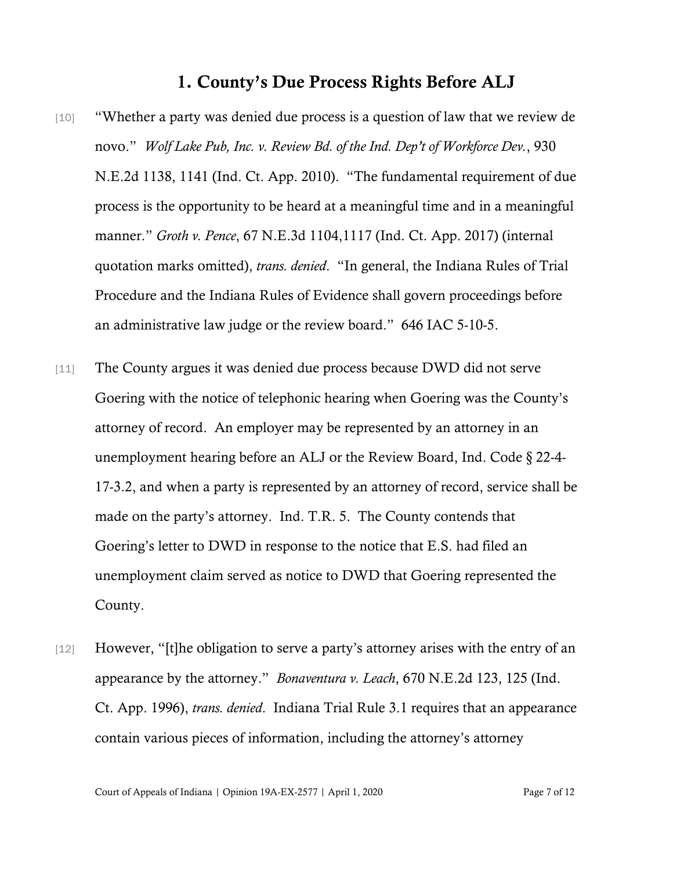### 1. County's Due Process Rights Before ALJ

- [10] "Whether a party was denied due process is a question of law that we review de novo." *Wolf Lake Pub, Inc. v. Review Bd. of the Ind. Dep't of Workforce Dev.*, 930 N.E.2d 1138, 1141 (Ind. Ct. App. 2010). "The fundamental requirement of due process is the opportunity to be heard at a meaningful time and in a meaningful manner." *Groth v. Pence*, 67 N.E.3d 1104,1117 (Ind. Ct. App. 2017) (internal quotation marks omitted), *trans. denied*. "In general, the Indiana Rules of Trial Procedure and the Indiana Rules of Evidence shall govern proceedings before an administrative law judge or the review board." 646 IAC 5-10-5.
- [11] The County argues it was denied due process because DWD did not serve Goering with the notice of telephonic hearing when Goering was the County's attorney of record. An employer may be represented by an attorney in an unemployment hearing before an ALJ or the Review Board, Ind. Code § 22-4- 17-3.2, and when a party is represented by an attorney of record, service shall be made on the party's attorney. Ind. T.R. 5. The County contends that Goering's letter to DWD in response to the notice that E.S. had filed an unemployment claim served as notice to DWD that Goering represented the County.
- [12] However, "[t]he obligation to serve a party's attorney arises with the entry of an appearance by the attorney." *Bonaventura v. Leach*, 670 N.E.2d 123, 125 (Ind. Ct. App. 1996), *trans. denied*. Indiana Trial Rule 3.1 requires that an appearance contain various pieces of information, including the attorney's attorney

Court of Appeals of Indiana | Opinion 19A-EX-2577 | April 1, 2020 Page 7 of 12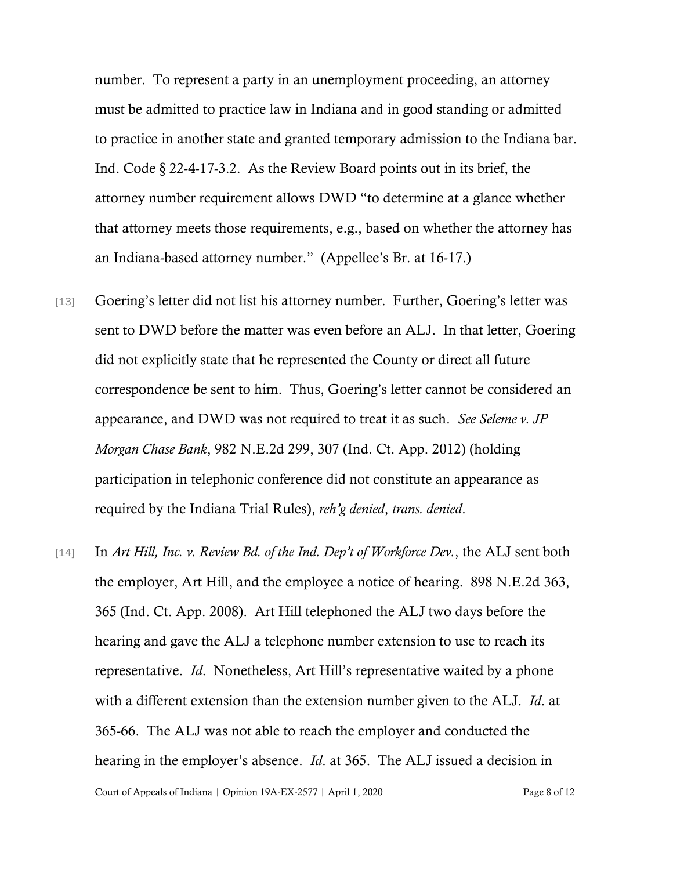number. To represent a party in an unemployment proceeding, an attorney must be admitted to practice law in Indiana and in good standing or admitted to practice in another state and granted temporary admission to the Indiana bar. Ind. Code § 22-4-17-3.2. As the Review Board points out in its brief, the attorney number requirement allows DWD "to determine at a glance whether that attorney meets those requirements, e.g., based on whether the attorney has an Indiana-based attorney number." (Appellee's Br. at 16-17.)

- [13] Goering's letter did not list his attorney number. Further, Goering's letter was sent to DWD before the matter was even before an ALJ. In that letter, Goering did not explicitly state that he represented the County or direct all future correspondence be sent to him. Thus, Goering's letter cannot be considered an appearance, and DWD was not required to treat it as such. *See Seleme v. JP Morgan Chase Bank*, 982 N.E.2d 299, 307 (Ind. Ct. App. 2012) (holding participation in telephonic conference did not constitute an appearance as required by the Indiana Trial Rules), *reh'g denied*, *trans. denied*.
- Court of Appeals of Indiana | Opinion 19A-EX-2577 | April 1, 2020 Page 8 of 12 [14] In *Art Hill, Inc. v. Review Bd. of the Ind. Dep't of Workforce Dev.*, the ALJ sent both the employer, Art Hill, and the employee a notice of hearing. 898 N.E.2d 363, 365 (Ind. Ct. App. 2008). Art Hill telephoned the ALJ two days before the hearing and gave the ALJ a telephone number extension to use to reach its representative. *Id*. Nonetheless, Art Hill's representative waited by a phone with a different extension than the extension number given to the ALJ. *Id*. at 365-66. The ALJ was not able to reach the employer and conducted the hearing in the employer's absence. *Id*. at 365. The ALJ issued a decision in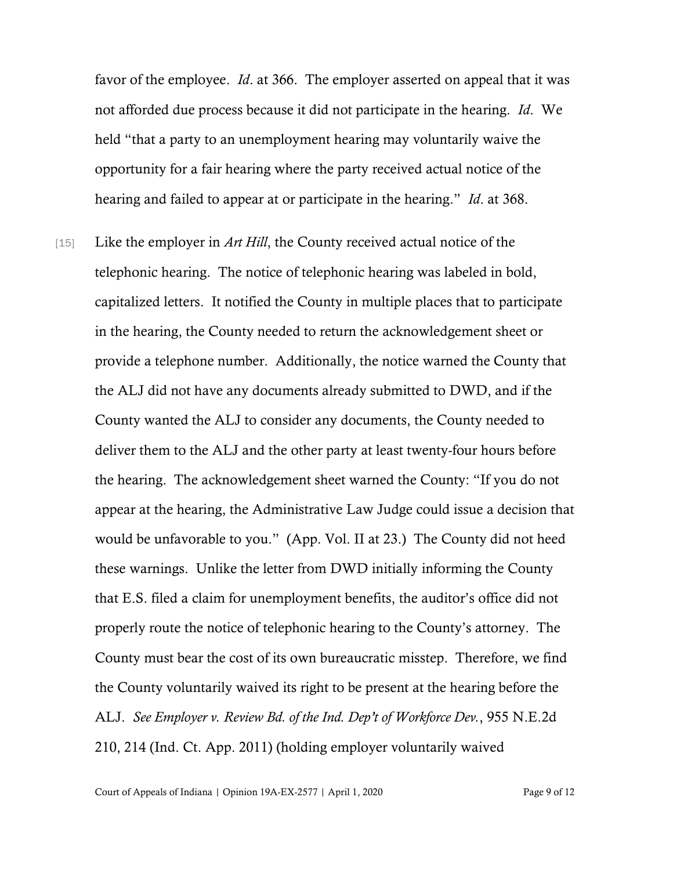favor of the employee. *Id*. at 366. The employer asserted on appeal that it was not afforded due process because it did not participate in the hearing. *Id*. We held "that a party to an unemployment hearing may voluntarily waive the opportunity for a fair hearing where the party received actual notice of the hearing and failed to appear at or participate in the hearing." *Id*. at 368.

[15] Like the employer in *Art Hill*, the County received actual notice of the telephonic hearing. The notice of telephonic hearing was labeled in bold, capitalized letters. It notified the County in multiple places that to participate in the hearing, the County needed to return the acknowledgement sheet or provide a telephone number. Additionally, the notice warned the County that the ALJ did not have any documents already submitted to DWD, and if the County wanted the ALJ to consider any documents, the County needed to deliver them to the ALJ and the other party at least twenty-four hours before the hearing. The acknowledgement sheet warned the County: "If you do not appear at the hearing, the Administrative Law Judge could issue a decision that would be unfavorable to you." (App. Vol. II at 23.) The County did not heed these warnings. Unlike the letter from DWD initially informing the County that E.S. filed a claim for unemployment benefits, the auditor's office did not properly route the notice of telephonic hearing to the County's attorney. The County must bear the cost of its own bureaucratic misstep. Therefore, we find the County voluntarily waived its right to be present at the hearing before the ALJ. *See Employer v. Review Bd. of the Ind. Dep't of Workforce Dev.*, 955 N.E.2d 210, 214 (Ind. Ct. App. 2011) (holding employer voluntarily waived

Court of Appeals of Indiana | Opinion 19A-EX-2577 | April 1, 2020 Page 9 of 12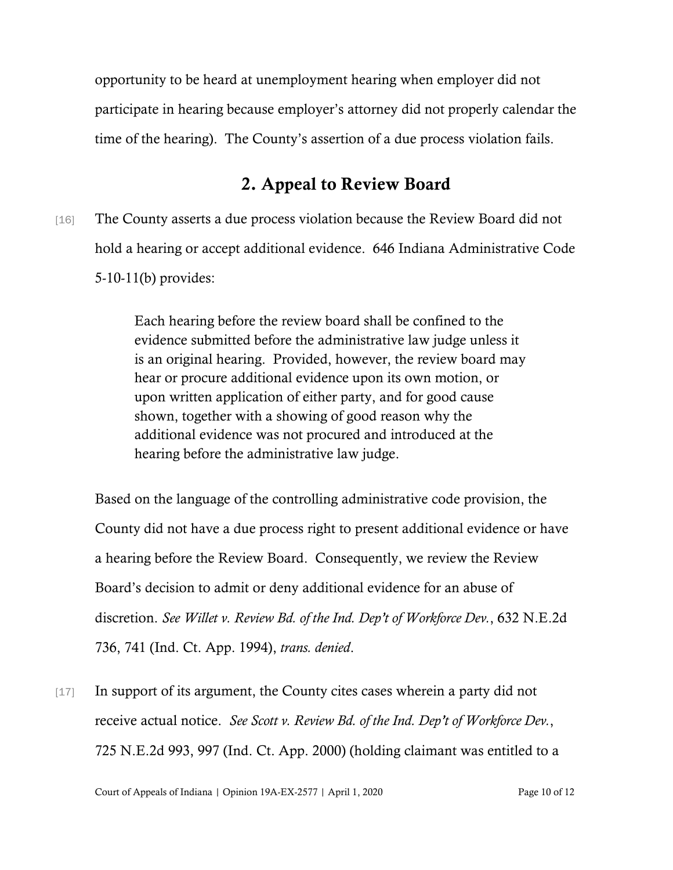opportunity to be heard at unemployment hearing when employer did not participate in hearing because employer's attorney did not properly calendar the time of the hearing). The County's assertion of a due process violation fails.

### 2. Appeal to Review Board

[16] The County asserts a due process violation because the Review Board did not hold a hearing or accept additional evidence. 646 Indiana Administrative Code 5-10-11(b) provides:

> Each hearing before the review board shall be confined to the evidence submitted before the administrative law judge unless it is an original hearing. Provided, however, the review board may hear or procure additional evidence upon its own motion, or upon written application of either party, and for good cause shown, together with a showing of good reason why the additional evidence was not procured and introduced at the hearing before the administrative law judge.

Based on the language of the controlling administrative code provision, the County did not have a due process right to present additional evidence or have a hearing before the Review Board. Consequently, we review the Review Board's decision to admit or deny additional evidence for an abuse of discretion. *See Willet v. Review Bd. of the Ind. Dep't of Workforce Dev.*, 632 N.E.2d 736, 741 (Ind. Ct. App. 1994), *trans. denied*.

[17] In support of its argument, the County cites cases wherein a party did not receive actual notice. *See Scott v. Review Bd. of the Ind. Dep't of Workforce Dev.*, 725 N.E.2d 993, 997 (Ind. Ct. App. 2000) (holding claimant was entitled to a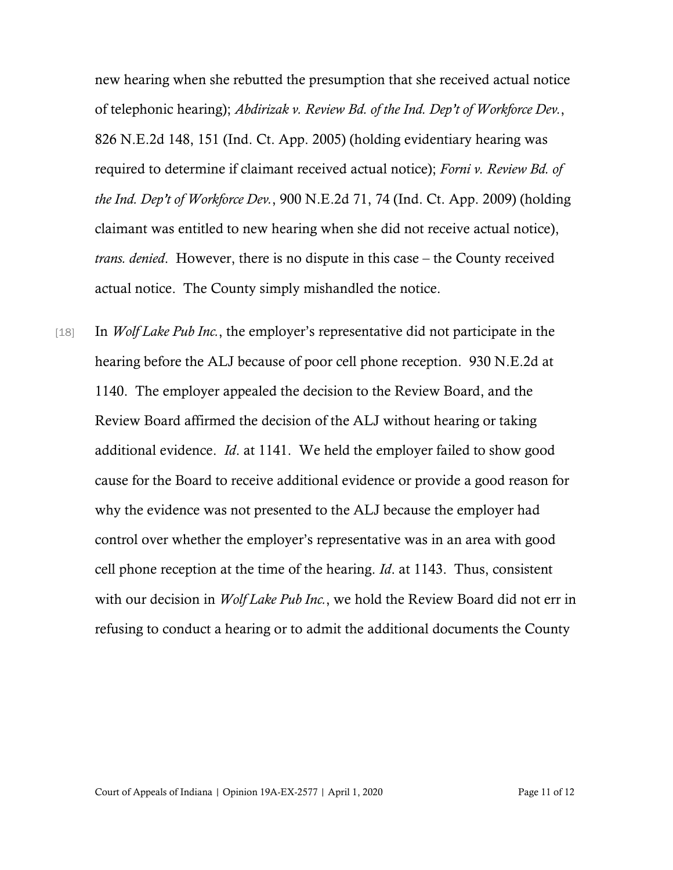new hearing when she rebutted the presumption that she received actual notice of telephonic hearing); *Abdirizak v. Review Bd. of the Ind. Dep't of Workforce Dev.*, 826 N.E.2d 148, 151 (Ind. Ct. App. 2005) (holding evidentiary hearing was required to determine if claimant received actual notice); *Forni v. Review Bd. of the Ind. Dep't of Workforce Dev.*, 900 N.E.2d 71, 74 (Ind. Ct. App. 2009) (holding claimant was entitled to new hearing when she did not receive actual notice), *trans. denied*. However, there is no dispute in this case – the County received actual notice. The County simply mishandled the notice.

[18] In *Wolf Lake Pub Inc.*, the employer's representative did not participate in the hearing before the ALJ because of poor cell phone reception. 930 N.E.2d at 1140. The employer appealed the decision to the Review Board, and the Review Board affirmed the decision of the ALJ without hearing or taking additional evidence. *Id*. at 1141. We held the employer failed to show good cause for the Board to receive additional evidence or provide a good reason for why the evidence was not presented to the ALJ because the employer had control over whether the employer's representative was in an area with good cell phone reception at the time of the hearing. *Id*. at 1143. Thus, consistent with our decision in *Wolf Lake Pub Inc.*, we hold the Review Board did not err in refusing to conduct a hearing or to admit the additional documents the County